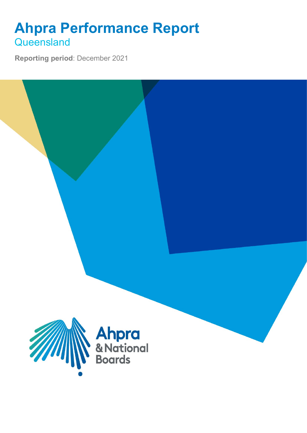## **Ahpra Performance Report Queensland**

**Reporting period**: December 2021

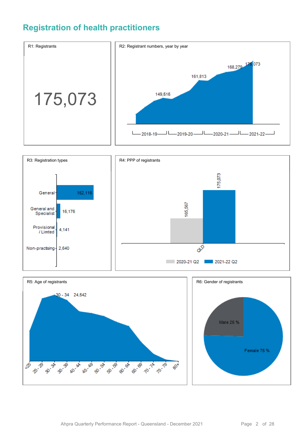### **Registration of health practitioners**





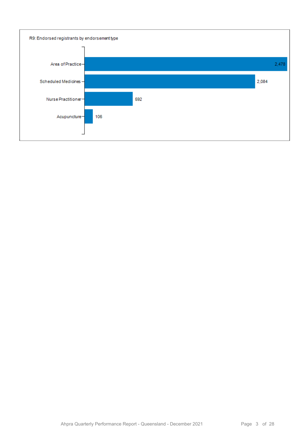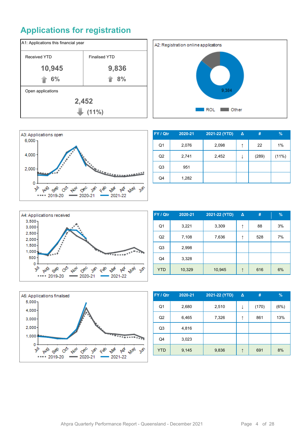## **Applications for registration**







| FY / Qtr       | 2020-21 | 2021-22 (YTD) | $\Delta$ | #     | $\frac{9}{6}$ |
|----------------|---------|---------------|----------|-------|---------------|
| Q1             | 2,076   | 2,098         | ↑        | 22    | 1%            |
| Q <sub>2</sub> | 2,741   | 2,452         | ↓        | (289) | (11%)         |
| Q <sub>3</sub> | 951     |               |          |       |               |
| Q4             | 1,282   |               |          |       |               |



| FY / Qtr       | 2020-21 | 2021-22 (YTD) | Δ | #   | $\%$ |
|----------------|---------|---------------|---|-----|------|
| Q <sub>1</sub> | 3,221   | 3,309         | ↑ | 88  | 3%   |
| Q <sub>2</sub> | 7,108   | 7,636         | ↑ | 528 | 7%   |
| Q <sub>3</sub> | 2,998   |               |   |     |      |
| Q4             | 3,328   |               |   |     |      |
| <b>YTD</b>     | 10,329  | 10,945        | ↑ | 616 | 6%   |



| FY / Qtr       | 2020-21 | 2021-22 (YTD) | Δ | #     | $\frac{9}{6}$ |
|----------------|---------|---------------|---|-------|---------------|
| Q <sub>1</sub> | 2,680   | 2,510         | ↓ | (170) | (6%)          |
| Q <sub>2</sub> | 6,465   | 7,326         | ↑ | 861   | 13%           |
| Q <sub>3</sub> | 4,816   |               |   |       |               |
| Q4             | 3,023   |               |   |       |               |
| <b>YTD</b>     | 9,145   | 9,836         | ↑ | 691   | 8%            |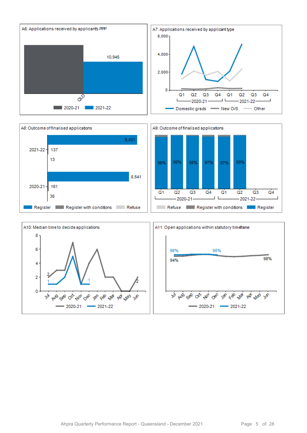



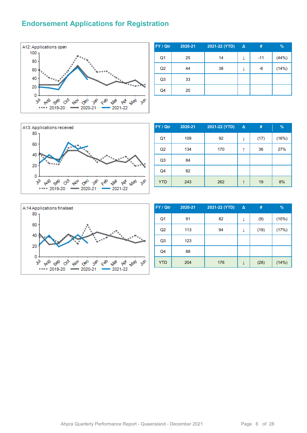#### **Endorsement Applications for Registration**



| FY / Qtr       | 2020-21 | 2021-22 (YTD) | $\Delta$ | #     | %     |
|----------------|---------|---------------|----------|-------|-------|
| Q <sub>1</sub> | 25      | 14            | ↓        | $-11$ | (44%) |
| Q2             | 44      | 38            | ↓        | -6    | (14%) |
| Q <sub>3</sub> | 33      |               |          |       |       |
| Q4             | 20      |               |          |       |       |



| FY / Qtr       | 2020-21 | 2021-22 (YTD) | $\Delta$ | #    | %     |
|----------------|---------|---------------|----------|------|-------|
| Q1             | 109     | 92            | ↓        | (17) | (16%) |
| Q2             | 134     | 170           | ↑        | 36   | 27%   |
| Q <sub>3</sub> | 84      |               |          |      |       |
| Q4             | 82      |               |          |      |       |
| <b>YTD</b>     | 243     | 262           |          | 19   | 8%    |



| FY / Qtr       | 2020-21 | 2021-22 (YTD) | Δ | #    | $\frac{9}{6}$ |
|----------------|---------|---------------|---|------|---------------|
| Q <sub>1</sub> | 91      | 82            | ↓ | (9)  | (10%)         |
| Q2             | 113     | 94            | ↓ | (19) | (17%)         |
| Q <sub>3</sub> | 123     |               |   |      |               |
| Q4             | 88      |               |   |      |               |
| <b>YTD</b>     | 204     | 176           | ↓ | (28) | (14%)         |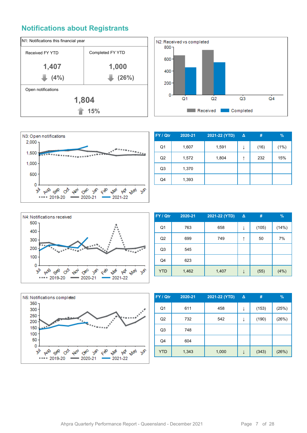#### **Notifications about Registrants**







| FY / Qtr       | 2020-21 | 2021-22 (YTD) | Δ | #    | $\%$ |
|----------------|---------|---------------|---|------|------|
| Q1             | 1,607   | 1,591         | J | (16) | (1%) |
| Q <sub>2</sub> | 1,572   | 1,804         | ↑ | 232  | 15%  |
| Q3             | 1,370   |               |   |      |      |
| Q4             | 1,393   |               |   |      |      |



| FY / Qtr       | 2020-21 | 2021-22 (YTD) | $\Delta$ | #     | $\frac{9}{6}$ |
|----------------|---------|---------------|----------|-------|---------------|
| Q1             | 763     | 658           | ↓        | (105) | (14%)         |
| Q <sub>2</sub> | 699     | 749           | ↑        | 50    | 7%            |
| Q3             | 545     |               |          |       |               |
| Q4             | 623     |               |          |       |               |
| <b>YTD</b>     | 1,462   | 1,407         |          | (55)  | (4%)          |



| FY / Qtr       | 2020-21 | 2021-22 (YTD) | Δ | #     | $\frac{9}{6}$ |
|----------------|---------|---------------|---|-------|---------------|
| Q <sub>1</sub> | 611     | 458           | ↓ | (153) | (25%)         |
| Q2             | 732     | 542           | ↓ | (190) | (26%)         |
| Q <sub>3</sub> | 748     |               |   |       |               |
| Q4             | 604     |               |   |       |               |
| <b>YTD</b>     | 1,343   | 1,000         | ↓ | (343) | (26%)         |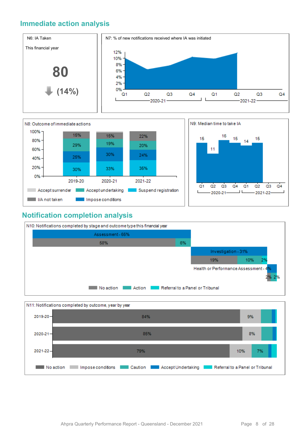#### **Immediate action analysis**





#### **Notification completion analysis**



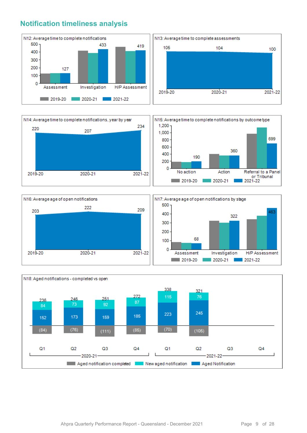#### **Notification timeliness analysis**









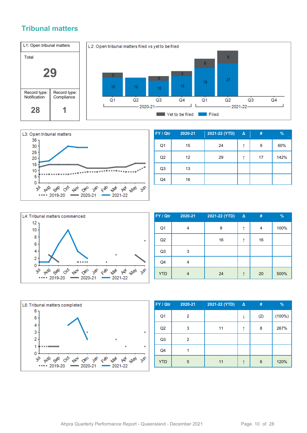#### **Tribunal matters**





| FY / Qtr       | 2020-21 | 2021-22 (YTD) | $\Delta$ | #  | %    |
|----------------|---------|---------------|----------|----|------|
| Q <sub>1</sub> | 15      | 24            | ↑        | 9  | 60%  |
| Q2             | 12      | 29            |          | 17 | 142% |
| Q <sub>3</sub> | 13      |               |          |    |      |
| Q4             | 16      |               |          |    |      |



| FY / Qtr       | 2020-21 | 2021-22 (YTD) | $\Delta$ | #  | $\frac{9}{6}$ |
|----------------|---------|---------------|----------|----|---------------|
| Q <sub>1</sub> | 4       | 8             | ↑        | 4  | 100%          |
| Q2             |         | 16            |          | 16 |               |
| Q <sub>3</sub> | 3       |               |          |    |               |
| Q4             | 4       |               |          |    |               |
| <b>YTD</b>     | 4       | 24            |          | 20 | 500%          |



| FY / Qtr       | 2020-21 | 2021-22 (YTD) | $\Delta$ | #   | $\%$   |
|----------------|---------|---------------|----------|-----|--------|
| Q <sub>1</sub> | 2       |               | J        | (2) | (100%) |
| Q2             | 3       | 11            | ↑        | 8   | 267%   |
| Q <sub>3</sub> | 2       |               |          |     |        |
| Q4             |         |               |          |     |        |
| <b>YTD</b>     | 5       | 11            |          | 6   | 120%   |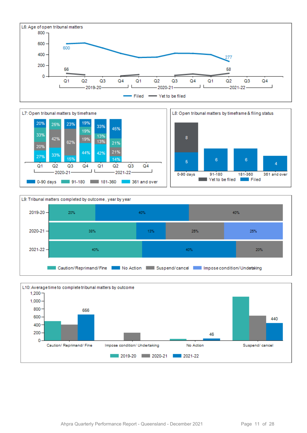







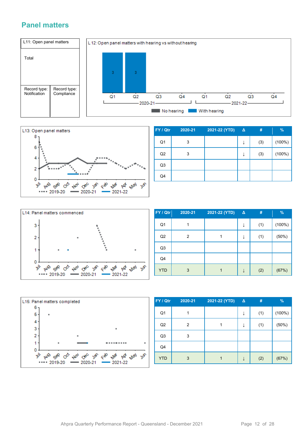#### **Panel matters**





| FY / Qtr       | 2020-21 | 2021-22 (YTD) | $\Delta$ | #   | $\frac{9}{6}$ |
|----------------|---------|---------------|----------|-----|---------------|
| Q <sub>1</sub> | 3       |               | ↓        | (3) | (100%)        |
| Q2             | 3       |               | ↓        | (3) | $(100\%)$     |
| Q <sub>3</sub> |         |               |          |     |               |
| Q4             |         |               |          |     |               |



| FY / Qtr       | 2020-21 | 2021-22 (YTD) | $\Delta$ | #   | $\%$   |
|----------------|---------|---------------|----------|-----|--------|
| Q1             |         |               | ↓        | (1) | (100%) |
| Q2             | 2       |               |          | (1) | (50%)  |
| Q <sub>3</sub> |         |               |          |     |        |
| Q4             |         |               |          |     |        |
| <b>YTD</b>     | 3       |               |          | (2) | (67%)  |



| FY / Qtr       | 2020-21 | 2021-22 (YTD) | $\Delta$ | #   | $\%$      |
|----------------|---------|---------------|----------|-----|-----------|
| Q <sub>1</sub> |         |               |          | (1) | $(100\%)$ |
| Q2             | 2       |               |          | (1) | (50%)     |
| Q <sub>3</sub> | 3       |               |          |     |           |
| Q4             |         |               |          |     |           |
| <b>YTD</b>     | 3       |               |          | (2) | (67%)     |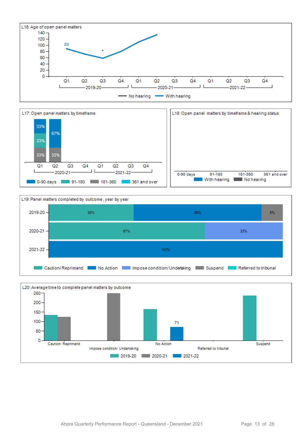





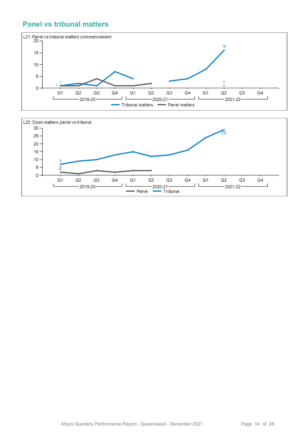#### **Panel vs tribunal matters**



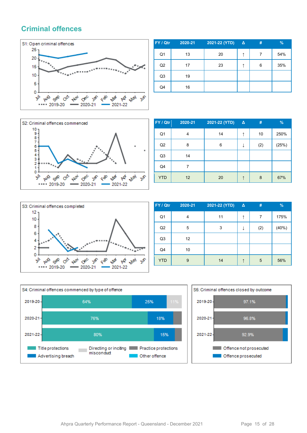#### **Criminal offences**



| FY / Qtr       | 2020-21 | 2021-22 (YTD) | $\Delta$ | # | $\%$ |
|----------------|---------|---------------|----------|---|------|
| Q <sub>1</sub> | 13      | 20            | ᠰ        | 7 | 54%  |
| Q2             | 17      | 23            |          | 6 | 35%  |
| Q <sub>3</sub> | 19      |               |          |   |      |
| Q4             | 16      |               |          |   |      |



| FY / Qtr       | 2020-21 | 2021-22 (YTD) | $\Delta$ | #   | $\%$  |
|----------------|---------|---------------|----------|-----|-------|
| Q <sub>1</sub> | 4       | 14            | ↑        | 10  | 250%  |
| Q2             | 8       | 6             |          | (2) | (25%) |
| Q <sub>3</sub> | 14      |               |          |     |       |
| Q4             |         |               |          |     |       |
| <b>YTD</b>     | 12      | 20            |          | 8   | 67%   |



| FY / Qtr   | 2020-21 | 2021-22 (YTD) | Δ | #   | $\%$  |
|------------|---------|---------------|---|-----|-------|
| Q1         | 4       | 11            | ↑ | 7   | 175%  |
| Q2         | 5       | 3             |   | (2) | (40%) |
| Q3         | 12      |               |   |     |       |
| Q4         | 10      |               |   |     |       |
| <b>YTD</b> | 9       | 14            | ↑ | 5   | 56%   |



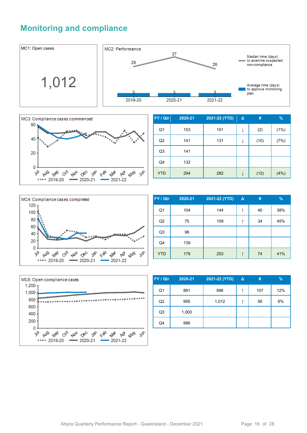#### **Monitoring and compliance**





| FY / Qtr       | 2020-21 | 2021-22 (YTD) | Δ | #    | %     |
|----------------|---------|---------------|---|------|-------|
| Q <sub>1</sub> | 153     | 151           | ↓ | (2)  | (1%)  |
| Q2             | 141     | 131           | ↓ | (10) | (7%)  |
| Q <sub>3</sub> | 141     |               |   |      |       |
| Q4             | 132     |               |   |      |       |
| <b>YTD</b>     | 294     | 282           |   | (12) | (4% ) |



| FY / Qtr       | 2020-21 | 2021-22 (YTD) | Δ | #  | $\frac{9}{6}$ |
|----------------|---------|---------------|---|----|---------------|
| Q <sub>1</sub> | 104     | 144           | ↑ | 40 | 38%           |
| Q2             | 75      | 109           | ↑ | 34 | 45%           |
| Q <sub>3</sub> | 98      |               |   |    |               |
| Q4             | 139     |               |   |    |               |
| <b>YTD</b>     | 179     | 253           | ↑ | 74 | 41%           |



| FY / Qtr       | 2020-21 | 2021-22 (YTD) | $\Delta$ | #   | %   |
|----------------|---------|---------------|----------|-----|-----|
| Q <sub>1</sub> | 891     | 998           | ↑        | 107 | 12% |
| Q2             | 956     | 1,012         | ᠰ        | 56  | 6%  |
| Q <sub>3</sub> | 1,000   |               |          |     |     |
| Q4             | 996     |               |          |     |     |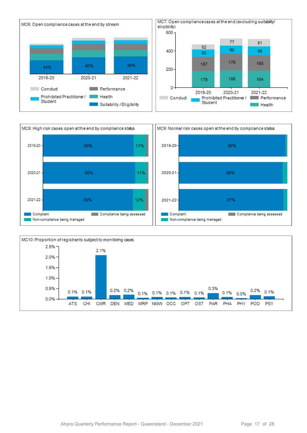



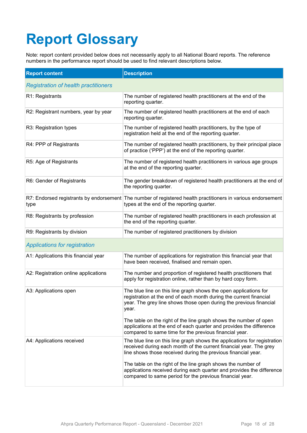# **Report Glossary**

Note: report content provided below does not necessarily apply to all National Board reports. The reference numbers in the performance report should be used to find relevant descriptions below.

| <b>Report content</b>                       | <b>Description</b>                                                                                                                                                                                                    |
|---------------------------------------------|-----------------------------------------------------------------------------------------------------------------------------------------------------------------------------------------------------------------------|
| <b>Registration of health practitioners</b> |                                                                                                                                                                                                                       |
| R1: Registrants                             | The number of registered health practitioners at the end of the<br>reporting quarter.                                                                                                                                 |
| R2: Registrant numbers, year by year        | The number of registered health practitioners at the end of each<br>reporting quarter.                                                                                                                                |
| R3: Registration types                      | The number of registered health practitioners, by the type of<br>registration held at the end of the reporting quarter.                                                                                               |
| R4: PPP of Registrants                      | The number of registered health practitioners, by their principal place<br>of practice ('PPP') at the end of the reporting quarter.                                                                                   |
| R5: Age of Registrants                      | The number of registered health practitioners in various age groups<br>at the end of the reporting quarter.                                                                                                           |
| R6: Gender of Registrants                   | The gender breakdown of registered health practitioners at the end of<br>the reporting quarter.                                                                                                                       |
| type                                        | R7: Endorsed registrants by endorsement The number of registered health practitioners in various endorsement<br>types at the end of the reporting quarter.                                                            |
| R8: Registrants by profession               | The number of registered health practitioners in each profession at<br>the end of the reporting quarter.                                                                                                              |
| R9: Registrants by division                 | The number of registered practitioners by division                                                                                                                                                                    |
| <b>Applications for registration</b>        |                                                                                                                                                                                                                       |
| A1: Applications this financial year        | The number of applications for registration this financial year that<br>have been received, finalised and remain open.                                                                                                |
| A2: Registration online applications        | The number and proportion of registered health practitioners that<br>apply for registration online, rather than by hard copy form.                                                                                    |
| A3: Applications open                       | The blue line on this line graph shows the open applications for<br>registration at the end of each month during the current financial<br>year. The grey line shows those open during the previous financial<br>year. |
|                                             | The table on the right of the line graph shows the number of open<br>applications at the end of each quarter and provides the difference<br>compared to same time for the previous financial year.                    |
| A4: Applications received                   | The blue line on this line graph shows the applications for registration<br>received during each month of the current financial year. The grey<br>line shows those received during the previous financial year.       |
|                                             | The table on the right of the line graph shows the number of<br>applications received during each quarter and provides the difference<br>compared to same period for the previous financial year.                     |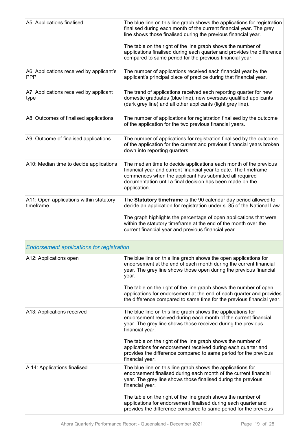| A5: Applications finalised                             | The blue line on this line graph shows the applications for registration<br>finalised during each month of the current financial year. The grey<br>line shows those finalised during the previous financial year.<br>The table on the right of the line graph shows the number of<br>applications finalised during each quarter and provides the difference<br>compared to same period for the previous financial year. |
|--------------------------------------------------------|-------------------------------------------------------------------------------------------------------------------------------------------------------------------------------------------------------------------------------------------------------------------------------------------------------------------------------------------------------------------------------------------------------------------------|
| A6: Applications received by applicant's<br><b>PPP</b> | The number of applications received each financial year by the<br>applicant's principal place of practice during that financial year.                                                                                                                                                                                                                                                                                   |
| A7: Applications received by applicant<br>type         | The trend of applications received each reporting quarter for new<br>domestic graduates (blue line), new overseas qualified applicants<br>(dark grey line) and all other applicants (light grey line).                                                                                                                                                                                                                  |
| A8: Outcomes of finalised applications                 | The number of applications for registration finalised by the outcome<br>of the application for the two previous financial years.                                                                                                                                                                                                                                                                                        |
| A9: Outcome of finalised applications                  | The number of applications for registration finalised by the outcome<br>of the application for the current and previous financial years broken<br>down into reporting quarters.                                                                                                                                                                                                                                         |
| A10: Median time to decide applications                | The median time to decide applications each month of the previous<br>financial year and current financial year to date. The timeframe<br>commences when the applicant has submitted all required<br>documentation until a final decision has been made on the<br>application.                                                                                                                                           |
| A11: Open applications within statutory<br>timeframe   | The Statutory timeframe is the 90 calendar day period allowed to<br>decide an application for registration under s. 85 of the National Law.<br>The graph highlights the percentage of open applications that were<br>within the statutory timeframe at the end of the month over the<br>current financial year and previous financial year.                                                                             |
| <b>Endorsement applications for registration</b>       |                                                                                                                                                                                                                                                                                                                                                                                                                         |
| A12: Applications open                                 | The blue line on this line graph shows the open applications for<br>endorsement at the end of each month during the current financial<br>year. The grey line shows those open during the previous financial<br>year.                                                                                                                                                                                                    |
|                                                        | The table on the right of the line graph shows the number of open<br>applications for endorsement at the end of each quarter and provides<br>the difference compared to same time for the previous financial year.                                                                                                                                                                                                      |
| A13: Applications received                             | The blue line on this line graph shows the applications for<br>endorsement received during each month of the current financial<br>year. The grey line shows those received during the previous<br>financial year.                                                                                                                                                                                                       |
|                                                        | The table on the right of the line graph shows the number of<br>applications for endorsement received during each quarter and<br>provides the difference compared to same period for the previous<br>financial year.                                                                                                                                                                                                    |
| A 14: Applications finalised                           | The blue line on this line graph shows the applications for<br>endorsement finalised during each month of the current financial<br>year. The grey line shows those finalised during the previous<br>financial year.                                                                                                                                                                                                     |
|                                                        | The table on the right of the line graph shows the number of<br>applications for endorsement finalised during each quarter and<br>provides the difference compared to same period for the previous                                                                                                                                                                                                                      |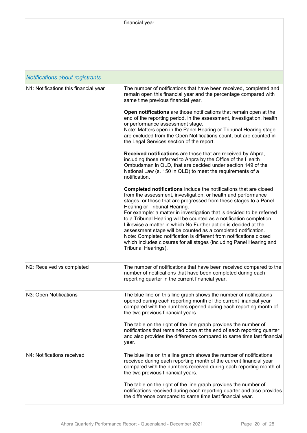|                                       | financial year.                                                                                                                                                                                                                                                                                                                                                                                                                                                                                                                                                                                                                                                                                 |
|---------------------------------------|-------------------------------------------------------------------------------------------------------------------------------------------------------------------------------------------------------------------------------------------------------------------------------------------------------------------------------------------------------------------------------------------------------------------------------------------------------------------------------------------------------------------------------------------------------------------------------------------------------------------------------------------------------------------------------------------------|
| Notifications about registrants       |                                                                                                                                                                                                                                                                                                                                                                                                                                                                                                                                                                                                                                                                                                 |
| N1: Notifications this financial year | The number of notifications that have been received, completed and<br>remain open this financial year and the percentage compared with<br>same time previous financial year.                                                                                                                                                                                                                                                                                                                                                                                                                                                                                                                    |
|                                       | Open notifications are those notifications that remain open at the<br>end of the reporting period, in the assessment, investigation, health<br>or performance assessment stage.<br>Note: Matters open in the Panel Hearing or Tribunal Hearing stage<br>are excluded from the Open Notifications count, but are counted in<br>the Legal Services section of the report.                                                                                                                                                                                                                                                                                                                         |
|                                       | Received notifications are those that are received by Ahpra,<br>including those referred to Ahpra by the Office of the Health<br>Ombudsman in QLD, that are decided under section 149 of the<br>National Law (s. 150 in QLD) to meet the requirements of a<br>notification.                                                                                                                                                                                                                                                                                                                                                                                                                     |
|                                       | Completed notifications include the notifications that are closed<br>from the assessment, investigation, or health and performance<br>stages, or those that are progressed from these stages to a Panel<br>Hearing or Tribunal Hearing.<br>For example: a matter in investigation that is decided to be referred<br>to a Tribunal Hearing will be counted as a notification completion.<br>Likewise a matter in which No Further action is decided at the<br>assessment stage will be counted as a completed notification.<br>Note: Completed notification is different from notifications closed<br>which includes closures for all stages (including Panel Hearing and<br>Tribunal Hearings). |
| N2: Received vs completed             | The number of notifications that have been received compared to the<br>number of notifications that have been completed during each<br>reporting quarter in the current financial year.                                                                                                                                                                                                                                                                                                                                                                                                                                                                                                         |
| N3: Open Notifications                | The blue line on this line graph shows the number of notifications<br>opened during each reporting month of the current financial year<br>compared with the numbers opened during each reporting month of<br>the two previous financial years.<br>The table on the right of the line graph provides the number of<br>notifications that remained open at the end of each reporting quarter<br>and also provides the difference compared to same time last financial<br>year.                                                                                                                                                                                                                    |
| N4: Notifications received            | The blue line on this line graph shows the number of notifications<br>received during each reporting month of the current financial year<br>compared with the numbers received during each reporting month of<br>the two previous financial years.                                                                                                                                                                                                                                                                                                                                                                                                                                              |
|                                       | The table on the right of the line graph provides the number of<br>notifications received during each reporting quarter and also provides<br>the difference compared to same time last financial year.                                                                                                                                                                                                                                                                                                                                                                                                                                                                                          |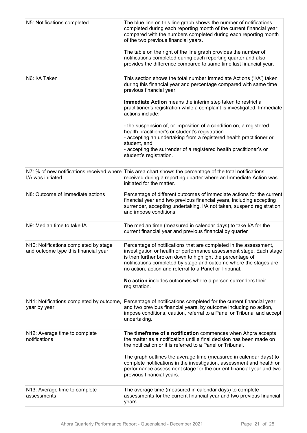| N5: Notifications completed                                                   | The blue line on this line graph shows the number of notifications<br>completed during each reporting month of the current financial year<br>compared with the numbers completed during each reporting month<br>of the two previous financial years.<br>The table on the right of the line graph provides the number of<br>notifications completed during each reporting quarter and also<br>provides the difference compared to same time last financial year. |
|-------------------------------------------------------------------------------|-----------------------------------------------------------------------------------------------------------------------------------------------------------------------------------------------------------------------------------------------------------------------------------------------------------------------------------------------------------------------------------------------------------------------------------------------------------------|
| N6: I/A Taken                                                                 | This section shows the total number Immediate Actions ('I/A') taken<br>during this financial year and percentage compared with same time<br>previous financial year.                                                                                                                                                                                                                                                                                            |
|                                                                               | Immediate Action means the interim step taken to restrict a<br>practitioner's registration while a complaint is investigated. Immediate<br>actions include:                                                                                                                                                                                                                                                                                                     |
|                                                                               | - the suspension of, or imposition of a condition on, a registered<br>health practitioner's or student's registration<br>- accepting an undertaking from a registered health practitioner or<br>student, and<br>- accepting the surrender of a registered health practitioner's or<br>student's registration.                                                                                                                                                   |
| I/A was initiated                                                             | N7: % of new notifications received where This area chart shows the percentage of the total notifications<br>received during a reporting quarter where an Immediate Action was<br>initiated for the matter.                                                                                                                                                                                                                                                     |
| N8: Outcome of immediate actions                                              | Percentage of different outcomes of immediate actions for the current<br>financial year and two previous financial years, including accepting<br>surrender, accepting undertaking, I/A not taken, suspend registration<br>and impose conditions.                                                                                                                                                                                                                |
| N9: Median time to take IA                                                    | The median time (measured in calendar days) to take I/A for the<br>current financial year and previous financial by quarter                                                                                                                                                                                                                                                                                                                                     |
| N10: Notifications completed by stage<br>and outcome type this financial year | Percentage of notifications that are completed in the assessment,<br>investigation or health or performance assessment stage. Each stage<br>is then further broken down to highlight the percentage of<br>notifications completed by stage and outcome where the stages are<br>no action, action and referral to a Panel or Tribunal.                                                                                                                           |
|                                                                               | No action includes outcomes where a person surrenders their<br>registration.                                                                                                                                                                                                                                                                                                                                                                                    |
| N11: Notifications completed by outcome,<br>year by year                      | Percentage of notifications completed for the current financial year<br>and two previous financial years, by outcome including no action,<br>impose conditions, caution, referral to a Panel or Tribunal and accept<br>undertaking.                                                                                                                                                                                                                             |
| N12: Average time to complete<br>notifications                                | The timeframe of a notification commences when Ahpra accepts<br>the matter as a notification until a final decision has been made on<br>the notification or it is referred to a Panel or Tribunal.                                                                                                                                                                                                                                                              |
|                                                                               | The graph outlines the average time (measured in calendar days) to<br>complete notifications in the investigation, assessment and health or<br>performance assessment stage for the current financial year and two<br>previous financial years.                                                                                                                                                                                                                 |
| N13: Average time to complete<br>assessments                                  | The average time (measured in calendar days) to complete<br>assessments for the current financial year and two previous financial<br>years.                                                                                                                                                                                                                                                                                                                     |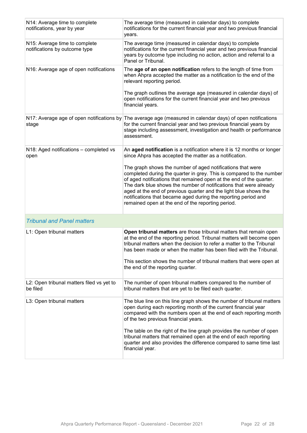| N14: Average time to complete<br>notifications, year by year   | The average time (measured in calendar days) to complete<br>notifications for the current financial year and two previous financial<br>years.                                                                                                                                                                                                                                                                                                                             |
|----------------------------------------------------------------|---------------------------------------------------------------------------------------------------------------------------------------------------------------------------------------------------------------------------------------------------------------------------------------------------------------------------------------------------------------------------------------------------------------------------------------------------------------------------|
| N15: Average time to complete<br>notifications by outcome type | The average time (measured in calendar days) to complete<br>notifications for the current financial year and two previous financial<br>years by outcome type including no action, action and referral to a<br>Panel or Tribunal.                                                                                                                                                                                                                                          |
| N16: Average age of open notifications                         | The age of an open notification refers to the length of time from<br>when Ahpra accepted the matter as a notification to the end of the<br>relevant reporting period.                                                                                                                                                                                                                                                                                                     |
|                                                                | The graph outlines the average age (measured in calendar days) of<br>open notifications for the current financial year and two previous<br>financial years.                                                                                                                                                                                                                                                                                                               |
| stage                                                          | N17: Average age of open notifications by The average age (measured in calendar days) of open notifications<br>for the current financial year and two previous financial years by<br>stage including assessment, investigation and health or performance<br>assessment.                                                                                                                                                                                                   |
| N18: Aged notifications – completed vs<br>open                 | An aged notification is a notification where it is 12 months or longer<br>since Ahpra has accepted the matter as a notification.                                                                                                                                                                                                                                                                                                                                          |
|                                                                | The graph shows the number of aged notifications that were<br>completed during the quarter in grey. This is compared to the number<br>of aged notifications that remained open at the end of the quarter.<br>The dark blue shows the number of notifications that were already<br>aged at the end of previous quarter and the light blue shows the<br>notifications that became aged during the reporting period and<br>remained open at the end of the reporting period. |
| <b>Tribunal and Panel matters</b>                              |                                                                                                                                                                                                                                                                                                                                                                                                                                                                           |
| L1: Open tribunal matters                                      | Open tribunal matters are those tribunal matters that remain open<br>at the end of the reporting period. Tribunal matters will become open<br>tribunal matters when the decision to refer a matter to the Tribunal<br>has been made or when the matter has been filed with the Tribunal.<br>This section shows the number of tribunal matters that were open at<br>the end of the reporting quarter.                                                                      |
| L2: Open tribunal matters filed vs yet to<br>be filed          | The number of open tribunal matters compared to the number of<br>tribunal matters that are yet to be filed each quarter.                                                                                                                                                                                                                                                                                                                                                  |
| L3: Open tribunal matters                                      | The blue line on this line graph shows the number of tribunal matters<br>open during each reporting month of the current financial year<br>compared with the numbers open at the end of each reporting month<br>of the two previous financial years.                                                                                                                                                                                                                      |
|                                                                | The table on the right of the line graph provides the number of open<br>tribunal matters that remained open at the end of each reporting<br>quarter and also provides the difference compared to same time last<br>financial year.                                                                                                                                                                                                                                        |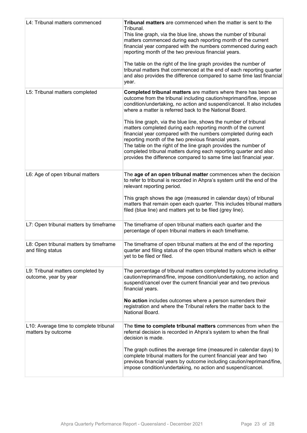| L4: Tribunal matters commenced                               | Tribunal matters are commenced when the matter is sent to the<br>Tribunal.<br>This line graph, via the blue line, shows the number of tribunal<br>matters commenced during each reporting month of the current<br>financial year compared with the numbers commenced during each<br>reporting month of the two previous financial years.<br>The table on the right of the line graph provides the number of<br>tribunal matters that commenced at the end of each reporting quarter<br>and also provides the difference compared to same time last financial<br>year.                                                                                                                                                                               |
|--------------------------------------------------------------|-----------------------------------------------------------------------------------------------------------------------------------------------------------------------------------------------------------------------------------------------------------------------------------------------------------------------------------------------------------------------------------------------------------------------------------------------------------------------------------------------------------------------------------------------------------------------------------------------------------------------------------------------------------------------------------------------------------------------------------------------------|
| L5: Tribunal matters completed                               | Completed tribunal matters are matters where there has been an<br>outcome from the tribunal including caution/reprimand/fine, impose<br>condition/undertaking, no action and suspend/cancel. It also includes<br>where a matter is referred back to the National Board.<br>This line graph, via the blue line, shows the number of tribunal<br>matters completed during each reporting month of the current<br>financial year compared with the numbers completed during each<br>reporting month of the two previous financial years.<br>The table on the right of the line graph provides the number of<br>completed tribunal matters during each reporting quarter and also<br>provides the difference compared to same time last financial year. |
| L6: Age of open tribunal matters                             | The age of an open tribunal matter commences when the decision<br>to refer to tribunal is recorded in Ahpra's system until the end of the<br>relevant reporting period.<br>This graph shows the age (measured in calendar days) of tribunal<br>matters that remain open each quarter. This includes tribunal matters<br>filed (blue line) and matters yet to be filed (grey line).                                                                                                                                                                                                                                                                                                                                                                  |
| L7: Open tribunal matters by timeframe                       | The timeframe of open tribunal matters each quarter and the<br>percentage of open tribunal matters in each timeframe.                                                                                                                                                                                                                                                                                                                                                                                                                                                                                                                                                                                                                               |
| L8: Open tribunal matters by timeframe<br>and filing status  | The timeframe of open tribunal matters at the end of the reporting<br>quarter and filing status of the open tribunal matters which is either<br>yet to be filed or filed.                                                                                                                                                                                                                                                                                                                                                                                                                                                                                                                                                                           |
| L9: Tribunal matters completed by<br>outcome, year by year   | The percentage of tribunal matters completed by outcome including<br>caution/reprimand/fine, impose condition/undertaking, no action and<br>suspend/cancel over the current financial year and two previous<br>financial years.<br>No action includes outcomes where a person surrenders their<br>registration and where the Tribunal refers the matter back to the<br>National Board.                                                                                                                                                                                                                                                                                                                                                              |
| L10: Average time to complete tribunal<br>matters by outcome | The time to complete tribunal matters commences from when the<br>referral decision is recorded in Ahpra's system to when the final<br>decision is made.<br>The graph outlines the average time (measured in calendar days) to<br>complete tribunal matters for the current financial year and two<br>previous financial years by outcome including caution/reprimand/fine,<br>impose condition/undertaking, no action and suspend/cancel.                                                                                                                                                                                                                                                                                                           |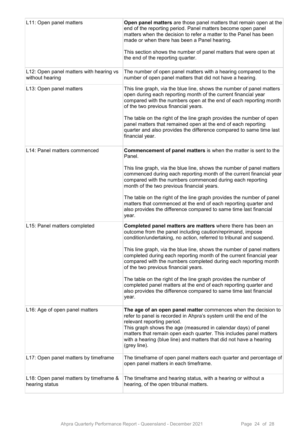| L11: Open panel matters                                    | Open panel matters are those panel matters that remain open at the<br>end of the reporting period. Panel matters become open panel<br>matters when the decision to refer a matter to the Panel has been<br>made or when there has been a Panel hearing.<br>This section shows the number of panel matters that were open at<br>the end of the reporting quarter.                               |
|------------------------------------------------------------|------------------------------------------------------------------------------------------------------------------------------------------------------------------------------------------------------------------------------------------------------------------------------------------------------------------------------------------------------------------------------------------------|
| L12: Open panel matters with hearing vs<br>without hearing | The number of open panel matters with a hearing compared to the<br>number of open panel matters that did not have a hearing.                                                                                                                                                                                                                                                                   |
| L13: Open panel matters                                    | This line graph, via the blue line, shows the number of panel matters<br>open during each reporting month of the current financial year<br>compared with the numbers open at the end of each reporting month<br>of the two previous financial years.                                                                                                                                           |
|                                                            | The table on the right of the line graph provides the number of open<br>panel matters that remained open at the end of each reporting<br>quarter and also provides the difference compared to same time last<br>financial year.                                                                                                                                                                |
| L14: Panel matters commenced                               | Commencement of panel matters is when the matter is sent to the<br>Panel.                                                                                                                                                                                                                                                                                                                      |
|                                                            | This line graph, via the blue line, shows the number of panel matters<br>commenced during each reporting month of the current financial year<br>compared with the numbers commenced during each reporting<br>month of the two previous financial years.                                                                                                                                        |
|                                                            | The table on the right of the line graph provides the number of panel<br>matters that commenced at the end of each reporting quarter and<br>also provides the difference compared to same time last financial<br>year.                                                                                                                                                                         |
| L15: Panel matters completed                               | Completed panel matters are matters where there has been an<br>outcome from the panel including caution/reprimand, impose<br>condition/undertaking, no action, referred to tribunal and suspend.                                                                                                                                                                                               |
|                                                            | This line graph, via the blue line, shows the number of panel matters<br>completed during each reporting month of the current financial year<br>compared with the numbers completed during each reporting month<br>of the two previous financial years.                                                                                                                                        |
|                                                            | The table on the right of the line graph provides the number of<br>completed panel matters at the end of each reporting quarter and<br>also provides the difference compared to same time last financial<br>year.                                                                                                                                                                              |
| L16: Age of open panel matters                             | The age of an open panel matter commences when the decision to<br>refer to panel is recorded in Ahpra's system until the end of the<br>relevant reporting period.<br>This graph shows the age (measured in calendar days) of panel<br>matters that remain open each quarter. This includes panel matters<br>with a hearing (blue line) and matters that did not have a hearing<br>(grey line). |
| L17: Open panel matters by timeframe                       | The timeframe of open panel matters each quarter and percentage of<br>open panel matters in each timeframe.                                                                                                                                                                                                                                                                                    |
| L18: Open panel matters by timeframe &<br>hearing status   | The timeframe and hearing status, with a hearing or without a<br>hearing, of the open tribunal matters.                                                                                                                                                                                                                                                                                        |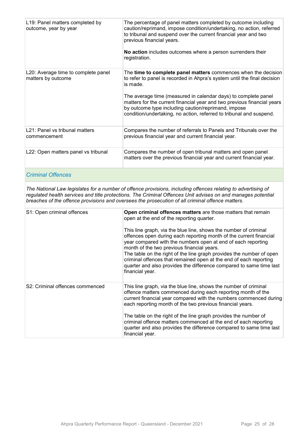| L19: Panel matters completed by<br>outcome, year by year  | The percentage of panel matters completed by outcome including<br>caution/reprimand, impose condition/undertaking, no action, referred<br>to tribunal and suspend over the current financial year and two<br>previous financial years.<br>No action includes outcomes where a person surrenders their<br>registration.                                                                                                            |
|-----------------------------------------------------------|-----------------------------------------------------------------------------------------------------------------------------------------------------------------------------------------------------------------------------------------------------------------------------------------------------------------------------------------------------------------------------------------------------------------------------------|
| L20: Average time to complete panel<br>matters by outcome | The time to complete panel matters commences when the decision<br>to refer to panel is recorded in Ahpra's system until the final decision<br>is made.<br>The average time (measured in calendar days) to complete panel<br>matters for the current financial year and two previous financial years<br>by outcome type including caution/reprimand, impose<br>condition/undertaking, no action, referred to tribunal and suspend. |
| L21: Panel vs tribunal matters<br>commencement            | Compares the number of referrals to Panels and Tribunals over the<br>previous financial year and current financial year.                                                                                                                                                                                                                                                                                                          |
| L22: Open matters panel vs tribunal                       | Compares the number of open tribunal matters and open panel<br>matters over the previous financial year and current financial year.                                                                                                                                                                                                                                                                                               |

#### *Criminal Offences*

*The National Law legislates for a number of offence provisions, including offences relating to advertising of regulated health services and title protections. The Criminal Offences Unit advises on and manages potential breaches of the offence provisions and oversees the prosecution of all criminal offence matters.*

| S1: Open criminal offences      | Open criminal offences matters are those matters that remain<br>open at the end of the reporting quarter.<br>This line graph, via the blue line, shows the number of criminal<br>offences open during each reporting month of the current financial<br>year compared with the numbers open at end of each reporting<br>month of the two previous financial years.<br>The table on the right of the line graph provides the number of open<br>criminal offences that remained open at the end of each reporting<br>quarter and also provides the difference compared to same time last<br>financial year. |
|---------------------------------|----------------------------------------------------------------------------------------------------------------------------------------------------------------------------------------------------------------------------------------------------------------------------------------------------------------------------------------------------------------------------------------------------------------------------------------------------------------------------------------------------------------------------------------------------------------------------------------------------------|
| S2: Criminal offences commenced | This line graph, via the blue line, shows the number of criminal<br>offence matters commenced during each reporting month of the<br>current financial year compared with the numbers commenced during<br>each reporting month of the two previous financial years.<br>The table on the right of the line graph provides the number of                                                                                                                                                                                                                                                                    |
|                                 | criminal offence matters commenced at the end of each reporting<br>quarter and also provides the difference compared to same time last<br>financial year.                                                                                                                                                                                                                                                                                                                                                                                                                                                |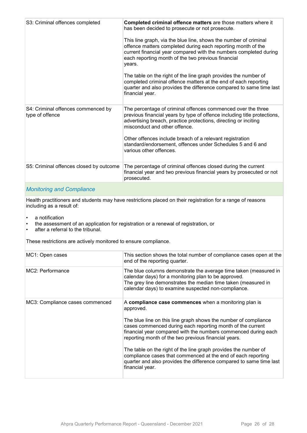| S3: Criminal offences completed                       | Completed criminal offence matters are those matters where it<br>has been decided to prosecute or not prosecute.<br>This line graph, via the blue line, shows the number of criminal<br>offence matters completed during each reporting month of the<br>current financial year compared with the numbers completed during<br>each reporting month of the two previous financial<br>years.<br>The table on the right of the line graph provides the number of<br>completed criminal offence matters at the end of each reporting<br>quarter and also provides the difference compared to same time last<br>financial year. |
|-------------------------------------------------------|---------------------------------------------------------------------------------------------------------------------------------------------------------------------------------------------------------------------------------------------------------------------------------------------------------------------------------------------------------------------------------------------------------------------------------------------------------------------------------------------------------------------------------------------------------------------------------------------------------------------------|
| S4: Criminal offences commenced by<br>type of offence | The percentage of criminal offences commenced over the three<br>previous financial years by type of offence including title protections,<br>advertising breach, practice protections, directing or inciting<br>misconduct and other offence.<br>Other offences include breach of a relevant registration<br>standard/endorsement, offences under Schedules 5 and 6 and<br>various other offences.                                                                                                                                                                                                                         |
| S5: Criminal offences closed by outcome               | The percentage of criminal offences closed during the current<br>financial year and two previous financial years by prosecuted or not<br>prosecuted.                                                                                                                                                                                                                                                                                                                                                                                                                                                                      |
|                                                       |                                                                                                                                                                                                                                                                                                                                                                                                                                                                                                                                                                                                                           |

#### *Monitoring and Compliance*

Health practitioners and students may have restrictions placed on their registration for a range of reasons including as a result of:

- a notification
- the assessment of an application for registration or a renewal of registration, or<br>• after a referral to the tribunal
- after a referral to the tribunal.

These restrictions are actively monitored to ensure compliance.

| MC1: Open cases                 | This section shows the total number of compliance cases open at the<br>end of the reporting quarter.                                                                                                                                                                                                                                                                                                                                                                                                                                                       |
|---------------------------------|------------------------------------------------------------------------------------------------------------------------------------------------------------------------------------------------------------------------------------------------------------------------------------------------------------------------------------------------------------------------------------------------------------------------------------------------------------------------------------------------------------------------------------------------------------|
| MC2: Performance                | The blue columns demonstrate the average time taken (measured in<br>calendar days) for a monitoring plan to be approved.<br>The grey line demonstrates the median time taken (measured in<br>calendar days) to examine suspected non-compliance.                                                                                                                                                                                                                                                                                                           |
| MC3: Compliance cases commenced | A compliance case commences when a monitoring plan is<br>approved.<br>The blue line on this line graph shows the number of compliance<br>cases commenced during each reporting month of the current<br>financial year compared with the numbers commenced during each<br>reporting month of the two previous financial years.<br>The table on the right of the line graph provides the number of<br>compliance cases that commenced at the end of each reporting<br>quarter and also provides the difference compared to same time last<br>financial year. |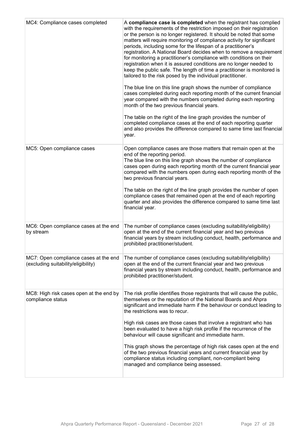| MC4: Compliance cases completed                                              | A compliance case is completed when the registrant has complied<br>with the requirements of the restriction imposed on their registration<br>or the person is no longer registered. It should be noted that some<br>matters will require monitoring of compliance activity for significant<br>periods, including some for the lifespan of a practitioner's<br>registration. A National Board decides when to remove a requirement<br>for monitoring a practitioner's compliance with conditions on their<br>registration when it is assured conditions are no longer needed to<br>keep the public safe. The length of time a practitioner is monitored is<br>tailored to the risk posed by the individual practitioner.<br>The blue line on this line graph shows the number of compliance<br>cases completed during each reporting month of the current financial<br>year compared with the numbers completed during each reporting<br>month of the two previous financial years.<br>The table on the right of the line graph provides the number of<br>completed compliance cases at the end of each reporting quarter<br>and also provides the difference compared to same time last financial<br>year. |
|------------------------------------------------------------------------------|------------------------------------------------------------------------------------------------------------------------------------------------------------------------------------------------------------------------------------------------------------------------------------------------------------------------------------------------------------------------------------------------------------------------------------------------------------------------------------------------------------------------------------------------------------------------------------------------------------------------------------------------------------------------------------------------------------------------------------------------------------------------------------------------------------------------------------------------------------------------------------------------------------------------------------------------------------------------------------------------------------------------------------------------------------------------------------------------------------------------------------------------------------------------------------------------------------|
| MC5: Open compliance cases                                                   | Open compliance cases are those matters that remain open at the<br>end of the reporting period.<br>The blue line on this line graph shows the number of compliance<br>cases open during each reporting month of the current financial year<br>compared with the numbers open during each reporting month of the<br>two previous financial years.<br>The table on the right of the line graph provides the number of open<br>compliance cases that remained open at the end of each reporting<br>quarter and also provides the difference compared to same time last<br>financial year.                                                                                                                                                                                                                                                                                                                                                                                                                                                                                                                                                                                                                     |
| MC6: Open compliance cases at the end<br>by stream                           | The number of compliance cases (excluding suitability/eligibility)<br>open at the end of the current financial year and two previous<br>financial years by stream including conduct, health, performance and<br>prohibited practitioner/student.                                                                                                                                                                                                                                                                                                                                                                                                                                                                                                                                                                                                                                                                                                                                                                                                                                                                                                                                                           |
| MC7: Open compliance cases at the end<br>(excluding suitability/eligibility) | The number of compliance cases (excluding suitability/eligibility)<br>open at the end of the current financial year and two previous<br>financial years by stream including conduct, health, performance and<br>prohibited practitioner/student.                                                                                                                                                                                                                                                                                                                                                                                                                                                                                                                                                                                                                                                                                                                                                                                                                                                                                                                                                           |
| MC8: High risk cases open at the end by<br>compliance status                 | The risk profile identifies those registrants that will cause the public,<br>themselves or the reputation of the National Boards and Ahpra<br>significant and immediate harm if the behaviour or conduct leading to<br>the restrictions was to recur.<br>High risk cases are those cases that involve a registrant who has<br>been evaluated to have a high risk profile if the recurrence of the<br>behaviour will cause significant and immediate harm.<br>This graph shows the percentage of high risk cases open at the end<br>of the two previous financial years and current financial year by<br>compliance status including compliant, non-compliant being<br>managed and compliance being assessed.                                                                                                                                                                                                                                                                                                                                                                                                                                                                                               |